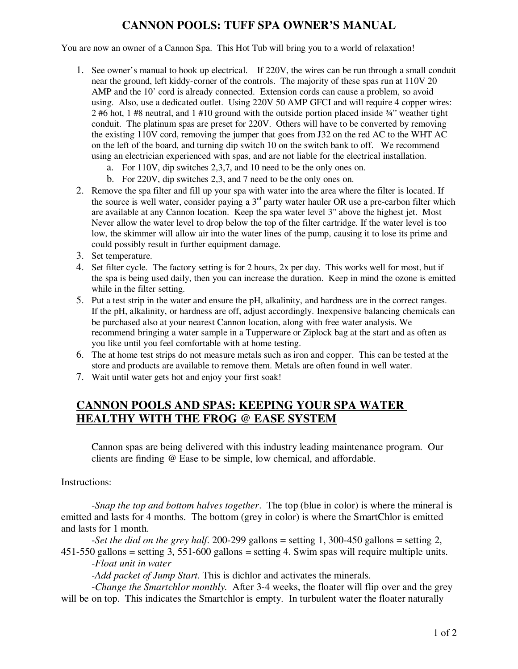# **CANNON POOLS: TUFF SPA OWNER'S MANUAL**

You are now an owner of a Cannon Spa. This Hot Tub will bring you to a world of relaxation!

- 1. See owner's manual to hook up electrical. If 220V, the wires can be run through a small conduit near the ground, left kiddy-corner of the controls. The majority of these spas run at 110V 20 AMP and the 10' cord is already connected. Extension cords can cause a problem, so avoid using. Also, use a dedicated outlet. Using 220V 50 AMP GFCI and will require 4 copper wires: 2 #6 hot, 1 #8 neutral, and 1 #10 ground with the outside portion placed inside  $\frac{3}{4}$ " weather tight conduit. The platinum spas are preset for 220V. Others will have to be converted by removing the existing 110V cord, removing the jumper that goes from J32 on the red AC to the WHT AC on the left of the board, and turning dip switch 10 on the switch bank to off. We recommend using an electrician experienced with spas, and are not liable for the electrical installation.
	- a. For 110V, dip switches 2,3,7, and 10 need to be the only ones on.
	- b. For 220V, dip switches 2,3, and 7 need to be the only ones on.
- 2. Remove the spa filter and fill up your spa with water into the area where the filter is located. If the source is well water, consider paying a  $3<sup>rd</sup>$  party water hauler OR use a pre-carbon filter which are available at any Cannon location. Keep the spa water level 3" above the highest jet. Most Never allow the water level to drop below the top of the filter cartridge. If the water level is too low, the skimmer will allow air into the water lines of the pump, causing it to lose its prime and could possibly result in further equipment damage.
- 3. Set temperature.
- 4. Set filter cycle. The factory setting is for 2 hours, 2x per day. This works well for most, but if the spa is being used daily, then you can increase the duration. Keep in mind the ozone is emitted while in the filter setting.
- 5. Put a test strip in the water and ensure the pH, alkalinity, and hardness are in the correct ranges. If the pH, alkalinity, or hardness are off, adjust accordingly. Inexpensive balancing chemicals can be purchased also at your nearest Cannon location, along with free water analysis. We recommend bringing a water sample in a Tupperware or Ziplock bag at the start and as often as you like until you feel comfortable with at home testing.
- 6. The at home test strips do not measure metals such as iron and copper. This can be tested at the store and products are available to remove them. Metals are often found in well water.
- 7. Wait until water gets hot and enjoy your first soak!

### **CANNON POOLS AND SPAS: KEEPING YOUR SPA WATER HEALTHY WITH THE FROG @ EASE SYSTEM**

Cannon spas are being delivered with this industry leading maintenance program. Our clients are finding @ Ease to be simple, low chemical, and affordable.

Instructions:

-*Snap the top and bottom halves together*. The top (blue in color) is where the mineral is emitted and lasts for 4 months. The bottom (grey in color) is where the SmartChlor is emitted and lasts for 1 month.

-*Set the dial on the grey half*. 200-299 gallons = setting 1, 300-450 gallons = setting 2, 451-550 gallons = setting 3, 551-600 gallons = setting 4. Swim spas will require multiple units.

-*Float unit in water*

*-Add packet of Jump Start.* This is dichlor and activates the minerals.

-*Change the Smartchlor monthly.* After 3-4 weeks, the floater will flip over and the grey will be on top. This indicates the Smartchlor is empty. In turbulent water the floater naturally